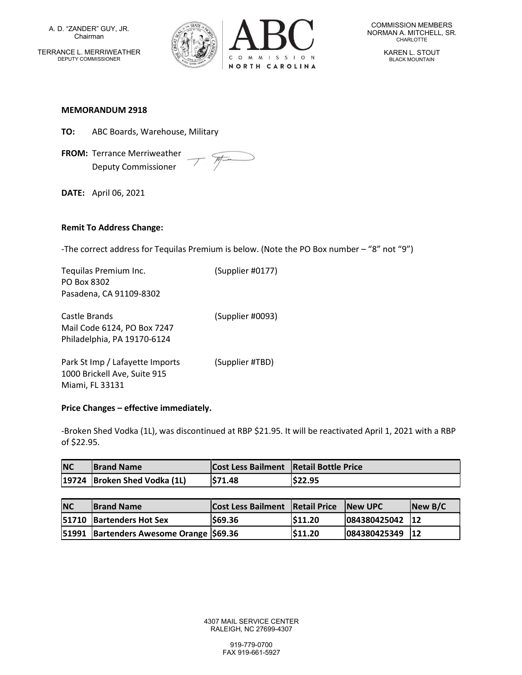A. D. "ZANDER" GUY, JR. Chairman TERRANCE L. MERRIWEATHER DEPUTY COMMISSIONER



COMMISSION MEMBERS NORMAN A. MITCHELL, SR. CHARLOTTE

> KAREN L. STOUT BLACK MOUNTAIN

#### MEMORANDUM 2918

- TO: ABC Boards, Warehouse, Military
- FROM: Terrance Merriweather  $\mathcal{P}$ Deputy Commissioner

DATE: April 06, 2021

### Remit To Address Change:

-The correct address for Tequilas Premium is below. (Note the PO Box number – "8" not "9")

Tequilas Premium Inc. (Supplier #0177) PO Box 8302 Pasadena, CA 91109-8302

Castle Brands (Supplier #0093) Mail Code 6124, PO Box 7247 Philadelphia, PA 19170-6124

Park St Imp / Lafayette Imports (Supplier #TBD) 1000 Brickell Ave, Suite 915 Miami, FL 33131

### Price Changes – effective immediately.

-Broken Shed Vodka (1L), was discontinued at RBP \$21.95. It will be reactivated April 1, 2021 with a RBP of \$22.95.

| <b>NC</b> | <b>Brand Name</b>            | Cost Less Bailment   Retail Bottle Price |         |
|-----------|------------------------------|------------------------------------------|---------|
|           | 19724 Broken Shed Vodka (1L) | \$71.48                                  | \$22.95 |

| <b>NC</b> | <b>Brand Name</b>                      | <b>Cost Less Bailment Retail Price New UPC</b> |               |                 | $\sqrt{\frac{N_{\text{ew}}}{N_{\text{c}}}}$ |
|-----------|----------------------------------------|------------------------------------------------|---------------|-----------------|---------------------------------------------|
|           | <b>51710 Bartenders Hot Sex</b>        | \$69.36                                        | <b>S11.20</b> | 084380425042 12 |                                             |
|           | 51991 Bartenders Awesome Orange 569.36 |                                                | <b>S11.20</b> | 084380425349    | 12                                          |

4307 MAIL SERVICE CENTER RALEIGH, NC 27699-4307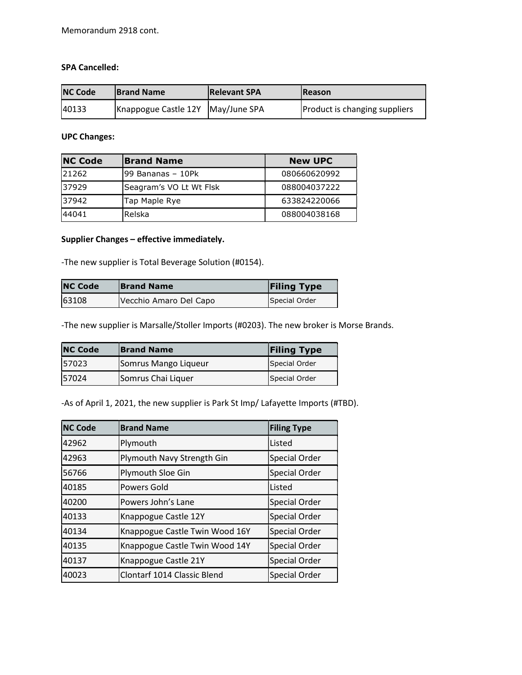# SPA Cancelled:

| <b>NC Code</b> | <b>Brand Name</b>                 | <b>Relevant SPA</b> | <b>Reason</b>                        |
|----------------|-----------------------------------|---------------------|--------------------------------------|
| 40133          | Knappogue Castle 12Y May/June SPA |                     | <b>Product is changing suppliers</b> |

## UPC Changes:

| <b>NC Code</b><br><b>Brand Name</b> |                         | <b>New UPC</b> |
|-------------------------------------|-------------------------|----------------|
| 21262                               | 99 Bananas - 10Pk       | 080660620992   |
| 37929                               | Seagram's VO Lt Wt Flsk | 088004037222   |
| 37942                               | Tap Maple Rye           | 633824220066   |
| 44041                               | Relska                  | 088004038168   |

# Supplier Changes – effective immediately.

-The new supplier is Total Beverage Solution (#0154).

| <b>NC Code</b> | <b>Brand Name</b>      | <b>Filing Type</b> |  |
|----------------|------------------------|--------------------|--|
| 63108          | Vecchio Amaro Del Capo | Special Order      |  |

-The new supplier is Marsalle/Stoller Imports (#0203). The new broker is Morse Brands.

| <b>NC Code</b><br><b>Brand Name</b> |                      | <b>Filing Type</b> |
|-------------------------------------|----------------------|--------------------|
| 57023                               | Somrus Mango Liqueur | Special Order      |
| 57024                               | Somrus Chai Liquer   | Special Order      |

-As of April 1, 2021, the new supplier is Park St Imp/ Lafayette Imports (#TBD).

| <b>NC Code</b> | <b>Brand Name</b><br><b>Filing Type</b> |                      |
|----------------|-----------------------------------------|----------------------|
| 42962          | Plymouth                                | Listed               |
| 42963          | Plymouth Navy Strength Gin              | <b>Special Order</b> |
| 56766          | Plymouth Sloe Gin                       | Special Order        |
| 40185          | <b>Powers Gold</b>                      | Listed               |
| 40200          | Powers John's Lane                      | Special Order        |
| 40133          | Knappogue Castle 12Y                    | <b>Special Order</b> |
| 40134          | Knappogue Castle Twin Wood 16Y          | <b>Special Order</b> |
| 40135          | Knappogue Castle Twin Wood 14Y          | <b>Special Order</b> |
| 40137          | Knappogue Castle 21Y                    | <b>Special Order</b> |
| 40023          | Clontarf 1014 Classic Blend             | Special Order        |